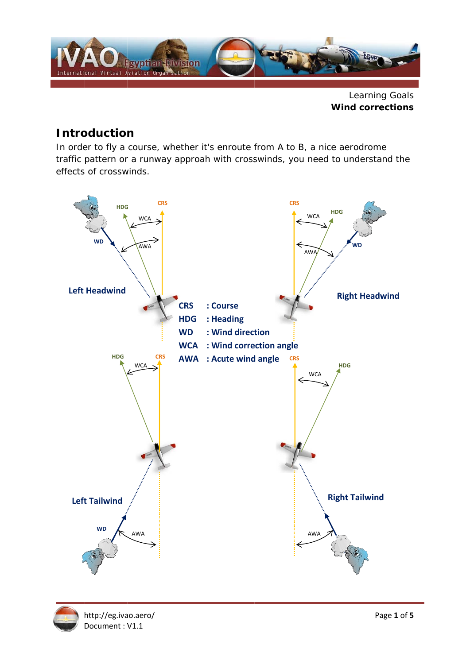

**Learning Goals Wind corrections** 

## **Introduction**

In order to fly a course, whether it's enroute from A to B, a nice aerodrome traffic pattern or a runway approah with crosswinds, you need to understand the effects of crosswinds.



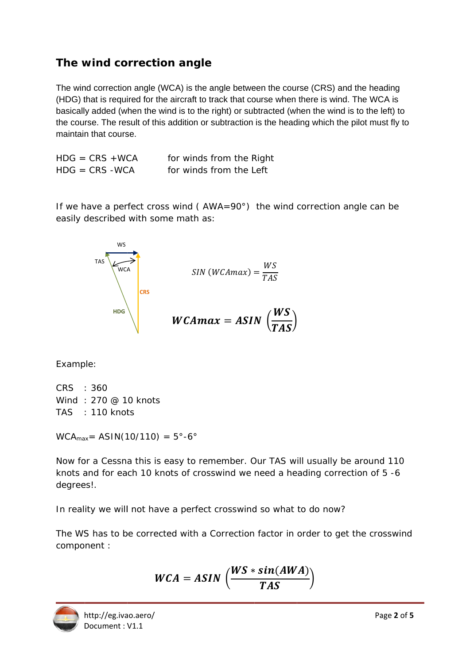## The wind correction angle

The wind correction angle (WCA) is the angle between the course (CRS) and the heading (HDG) that is required for the aircraft to track that course when there is wind. The WCA is basically added (when the wind is to the right) or subtracted (when the wind is to the left) to the course. The result of this addition or subtraction is the heading which the pilot must fly to maintain that course.

| $HDG = CRS + WCA$ | for winds from the Right |
|-------------------|--------------------------|
| $HDG = CRS - WCA$ | for winds from the Left  |

If we have a perfect cross wind ( $AWA=90^\circ$ ) the wind correction angle can be easily described with some math as:

SIN (WCAmax) =  $\frac{WS}{TAS}$ <br>WCAmax = ASIN  $\left(\frac{WS}{TAS}\right)$ 

Example:

CRS : 360 Wind: 270 @ 10 knots TAS : 110 knots

 $WCA_{\text{max}} = ASIN(10/110) = 5^{\circ} - 6^{\circ}$ 

WCA<br>CRS

Now for a Cessna this is easy to remember. Our TAS will usually be around 110 knots and for each 10 knots of crosswind we need a heading correction of 5 -6 degrees!.

In reality we will not have a perfect crosswind so what to do now?

The WS has to be corrected with a Correction factor in order to get the crosswind component :

$$
WCA = ASIN\left(\frac{WS * sin(AWA)}{TAS}\right)
$$

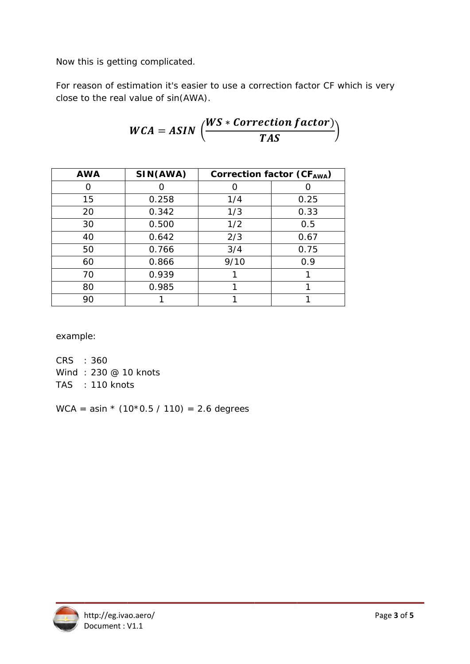Now this is getting complicated.

For reason of estimation it's easier to use a correction factor CF which is very close to the real value of sin(AWA).

$$
WCA = ASIN \left( \frac{WS * Correction factor}{TAS} \right)
$$

| <b>AWA</b> | SIN(AWA) | Correction factor (CFAWA) |      |
|------------|----------|---------------------------|------|
|            |          |                           |      |
| 15         | 0.258    | 1/4                       | 0.25 |
| 20         | 0.342    | 1/3                       | 0.33 |
| 30         | 0.500    | 1/2                       | 0.5  |
| 40         | 0.642    | 2/3                       | 0.67 |
| 50         | 0.766    | 3/4                       | 0.75 |
| 60         | 0.866    | 9/10                      | 0.9  |
| 70         | 0.939    |                           |      |
| 80         | 0.985    |                           |      |
| 90         |          |                           |      |

example:

CRS : 360 Wind: 230 @ 10 knots TAS : 110 knots

WCA = asin  $*(10*0.5 / 110) = 2.6$  degrees

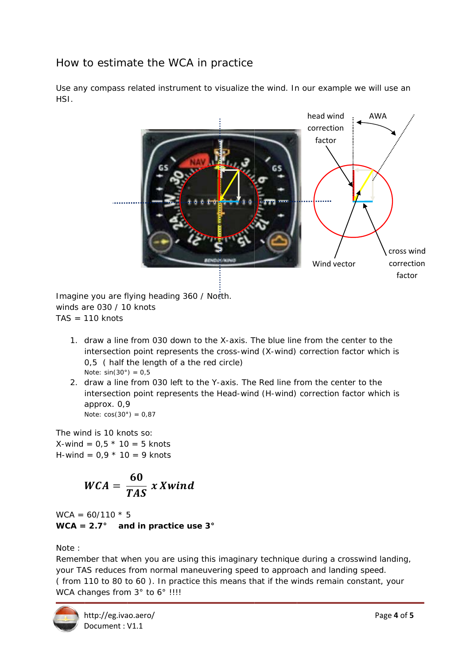## How to estimate the WCA in practice

Use any compass related instrument to visualize the wind. In our example we will use an HSI.



Imagine you are flying heading 360 / North. winds are 030 / 10 knots  $TAS = 110$  knots

- 1. draw a line from 030 down to the X-axis. The blue line from the center to the intersection point represents the cross-wind (X-wind) correction factor which is 0.5 (half the length of a the red circle) Note:  $sin(30^\circ) = 0.5$
- 2. draw a line from 030 left to the Y-axis. The Red line from the center to the intersection point represents the Head-wind (H-wind) correction factor which is approx. 0.9 Note:  $cos(30^\circ) = 0.87$

The wind is 10 knots so: X-wind =  $0.5 * 10 = 5$  knots H-wind =  $0.9 * 10 = 9$  knots

$$
WCA = \frac{60}{TAS} \, x \, Xwind
$$

 $WCA = 60/110 * 5$ WCA =  $2.7^{\circ}$  and in practice use 3°

Note:

Remember that when you are using this imaginary technique during a crosswind landing, your TAS reduces from normal maneuvering speed to approach and landing speed. (from 110 to 80 to 60). In practice this means that if the winds remain constant, your WCA changes from 3° to 6° !!!!